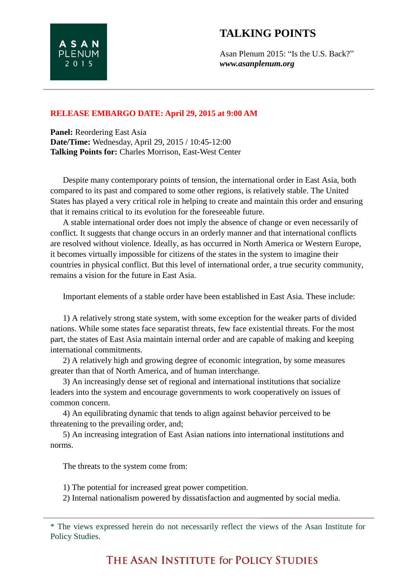## **TALKING POINTS**

**Panel:** Reordering East Asia **Date/Time:** Wednesday, April 29, 2015 / 10:45-12:00 **Talking Points for:** Charles Morrison, East-West Center

**ASAN PLENUM** 2 0 1 5

Despite many contemporary points of tension, the international order in East Asia, both compared to its past and compared to some other regions, is relatively stable. The United States has played a very critical role in helping to create and maintain this order and ensuring that it remains critical to its evolution for the foreseeable future.

A stable international order does not imply the absence of change or even necessarily of conflict. It suggests that change occurs in an orderly manner and that international conflicts are resolved without violence. Ideally, as has occurred in North America or Western Europe, it becomes virtually impossible for citizens of the states in the system to imagine their countries in physical conflict. But this level of international order, a true security community, remains a vision for the future in East Asia.

Important elements of a stable order have been established in East Asia. These include:

1) A relatively strong state system, with some exception for the weaker parts of divided nations. While some states face separatist threats, few face existential threats. For the most part, the states of East Asia maintain internal order and are capable of making and keeping international commitments.

2) A relatively high and growing degree of economic integration, by some measures greater than that of North America, and of human interchange.

3) An increasingly dense set of regional and international institutions that socialize leaders into the system and encourage governments to work cooperatively on issues of common concern.

4) An equilibrating dynamic that tends to align against behavior perceived to be threatening to the prevailing order, and;

5) An increasing integration of East Asian nations into international institutions and norms.

The threats to the system come from:

1) The potential for increased great power competition.

2) Internal nationalism powered by dissatisfaction and augmented by social media.

<sup>\*</sup> The views expressed herein do not necessarily reflect the views of the Asan Institute for Policy Studies.